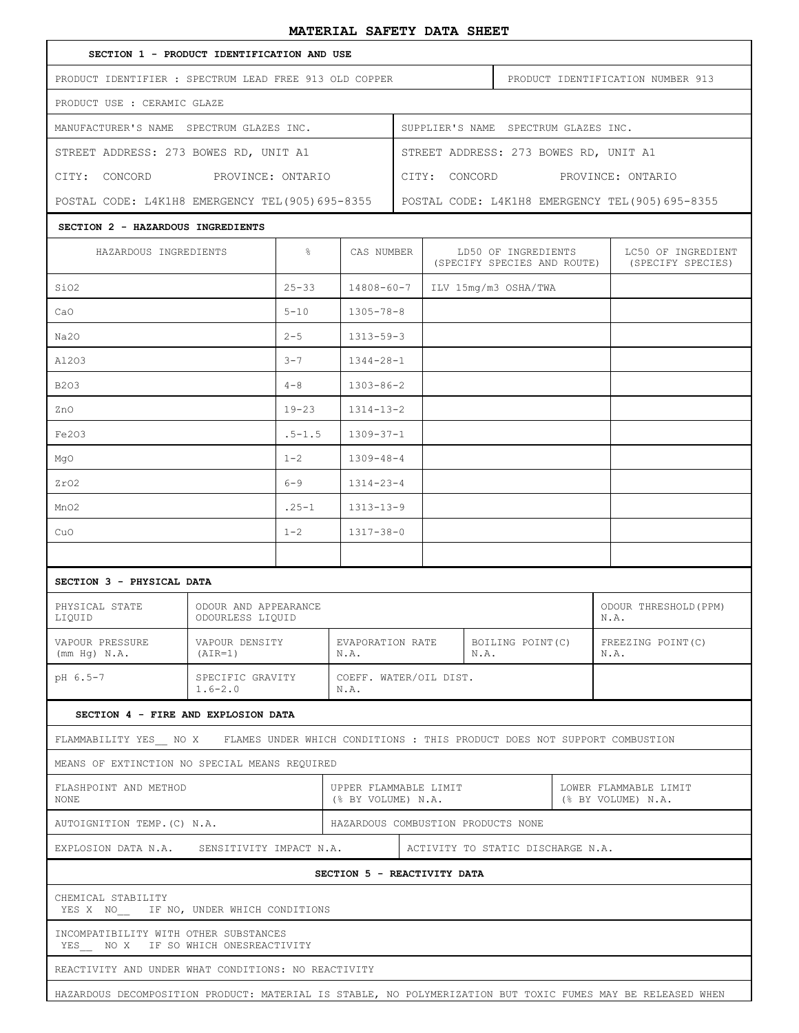## **MATERIAL SAFETY DATA SHEET**

|                                                                                                  |                                                                           |                             | railbaile chebit dhiin chobi                     |                                   |                                                    |                   |                                             |                                         |  |  |
|--------------------------------------------------------------------------------------------------|---------------------------------------------------------------------------|-----------------------------|--------------------------------------------------|-----------------------------------|----------------------------------------------------|-------------------|---------------------------------------------|-----------------------------------------|--|--|
| SECTION 1 - PRODUCT IDENTIFICATION AND USE                                                       |                                                                           |                             |                                                  |                                   |                                                    |                   |                                             |                                         |  |  |
| PRODUCT IDENTIFIER : SPECTRUM LEAD FREE 913 OLD COPPER                                           |                                                                           |                             |                                                  | PRODUCT IDENTIFICATION NUMBER 913 |                                                    |                   |                                             |                                         |  |  |
| PRODUCT USE : CERAMIC GLAZE                                                                      |                                                                           |                             |                                                  |                                   |                                                    |                   |                                             |                                         |  |  |
| MANUFACTURER'S NAME SPECTRUM GLAZES INC.                                                         | SUPPLIER'S NAME SPECTRUM GLAZES INC.                                      |                             |                                                  |                                   |                                                    |                   |                                             |                                         |  |  |
| STREET ADDRESS: 273 BOWES RD, UNIT A1                                                            |                                                                           |                             |                                                  |                                   | STREET ADDRESS: 273 BOWES RD, UNIT A1              |                   |                                             |                                         |  |  |
| CITY: CONCORD                                                                                    | PROVINCE: ONTARIO                                                         |                             |                                                  |                                   | CITY: CONCORD PROVINCE: ONTARIO                    |                   |                                             |                                         |  |  |
| POSTAL CODE: L4K1H8 EMERGENCY TEL (905) 695-8355                                                 |                                                                           |                             | POSTAL CODE: L4K1H8 EMERGENCY TEL (905) 695-8355 |                                   |                                                    |                   |                                             |                                         |  |  |
| SECTION 2 - HAZARDOUS INGREDIENTS                                                                |                                                                           |                             |                                                  |                                   |                                                    |                   |                                             |                                         |  |  |
| HAZARDOUS INGREDIENTS                                                                            |                                                                           | $\frac{6}{6}$<br>CAS NUMBER |                                                  |                                   | LD50 OF INGREDIENTS<br>(SPECIFY SPECIES AND ROUTE) |                   |                                             | LC50 OF INGREDIENT<br>(SPECIFY SPECIES) |  |  |
| SiO2                                                                                             |                                                                           | $25 - 33$                   | $14808 - 60 - 7$                                 |                                   | ILV 15mg/m3 OSHA/TWA                               |                   |                                             |                                         |  |  |
| CaO                                                                                              |                                                                           | $5 - 10$                    | $1305 - 78 - 8$                                  |                                   |                                                    |                   |                                             |                                         |  |  |
| Na20                                                                                             |                                                                           | $2 - 5$                     | $1313 - 59 - 3$                                  |                                   |                                                    |                   |                                             |                                         |  |  |
| A1203                                                                                            |                                                                           | $3 - 7$                     | $1344 - 28 - 1$                                  |                                   |                                                    |                   |                                             |                                         |  |  |
| <b>B203</b>                                                                                      |                                                                           | $4 - 8$                     | $1303 - 86 - 2$                                  |                                   |                                                    |                   |                                             |                                         |  |  |
| ZnO                                                                                              |                                                                           | $19 - 23$                   | $1314 - 13 - 2$                                  |                                   |                                                    |                   |                                             |                                         |  |  |
| Fe203                                                                                            |                                                                           | $.5 - 1.5$                  | $1309 - 37 - 1$                                  |                                   |                                                    |                   |                                             |                                         |  |  |
| MgO                                                                                              |                                                                           | $1 - 2$                     | $1309 - 48 - 4$                                  |                                   |                                                    |                   |                                             |                                         |  |  |
| ZrO2                                                                                             |                                                                           | $6 - 9$                     | $1314 - 23 - 4$                                  |                                   |                                                    |                   |                                             |                                         |  |  |
| MnO2                                                                                             |                                                                           | $.25 - 1$                   | $1313 - 13 - 9$                                  |                                   |                                                    |                   |                                             |                                         |  |  |
| CuO                                                                                              |                                                                           | $1 - 2$                     | $1317 - 38 - 0$                                  |                                   |                                                    |                   |                                             |                                         |  |  |
|                                                                                                  |                                                                           |                             |                                                  |                                   |                                                    |                   |                                             |                                         |  |  |
| SECTION 3 - PHYSICAL DATA                                                                        |                                                                           |                             |                                                  |                                   |                                                    |                   |                                             |                                         |  |  |
| PHYSICAL STATE<br>LIQUID                                                                         | ODOUR AND APPEARANCE<br>ODOUR THRESHOLD (PPM)<br>ODOURLESS LIQUID<br>N.A. |                             |                                                  |                                   |                                                    |                   |                                             |                                         |  |  |
| VAPOUR PRESSURE<br>(mm Hq) N.A.                                                                  | VAPOUR DENSITY<br>(AIR=1)                                                 | EVAPORATION RATE<br>N.A.    |                                                  |                                   | N.A.                                               | BOILING POINT (C) |                                             | FREEZING POINT (C)<br>N.A.              |  |  |
| pH 6.5-7                                                                                         | SPECIFIC GRAVITY<br>$1.6 - 2.0$<br>N.A.                                   |                             |                                                  | COEFF. WATER/OIL DIST.            |                                                    |                   |                                             |                                         |  |  |
| SECTION 4 - FIRE AND EXPLOSION DATA                                                              |                                                                           |                             |                                                  |                                   |                                                    |                   |                                             |                                         |  |  |
| FLAMMABILITY YES__ NO X FLAMES UNDER WHICH CONDITIONS : THIS PRODUCT DOES NOT SUPPORT COMBUSTION |                                                                           |                             |                                                  |                                   |                                                    |                   |                                             |                                         |  |  |
| MEANS OF EXTINCTION NO SPECIAL MEANS REQUIRED                                                    |                                                                           |                             |                                                  |                                   |                                                    |                   |                                             |                                         |  |  |
| FLASHPOINT AND METHOD<br>NONE                                                                    | UPPER FLAMMABLE LIMIT<br>(% BY VOLUME) N.A.                               |                             |                                                  |                                   |                                                    |                   | LOWER FLAMMABLE LIMIT<br>(% BY VOLUME) N.A. |                                         |  |  |
| HAZARDOUS COMBUSTION PRODUCTS NONE<br>AUTOIGNITION TEMP. (C) N.A.                                |                                                                           |                             |                                                  |                                   |                                                    |                   |                                             |                                         |  |  |
| EXPLOSION DATA N.A. SENSITIVITY IMPACT N.A.                                                      |                                                                           |                             |                                                  |                                   | ACTIVITY TO STATIC DISCHARGE N.A.                  |                   |                                             |                                         |  |  |
| SECTION 5 - REACTIVITY DATA                                                                      |                                                                           |                             |                                                  |                                   |                                                    |                   |                                             |                                         |  |  |
| CHEMICAL STABILITY<br>YES X NO IF NO, UNDER WHICH CONDITIONS                                     |                                                                           |                             |                                                  |                                   |                                                    |                   |                                             |                                         |  |  |
| INCOMPATIBILITY WITH OTHER SUBSTANCES<br>YES___ NO X IF SO WHICH ONESREACTIVITY                  |                                                                           |                             |                                                  |                                   |                                                    |                   |                                             |                                         |  |  |
| REACTIVITY AND UNDER WHAT CONDITIONS: NO REACTIVITY                                              |                                                                           |                             |                                                  |                                   |                                                    |                   |                                             |                                         |  |  |

HAZARDOUS DECOMPOSITION PRODUCT: MATERIAL IS STABLE, NO POLYMERIZATION BUT TOXIC FUMES MAY BE RELEASED WHEN